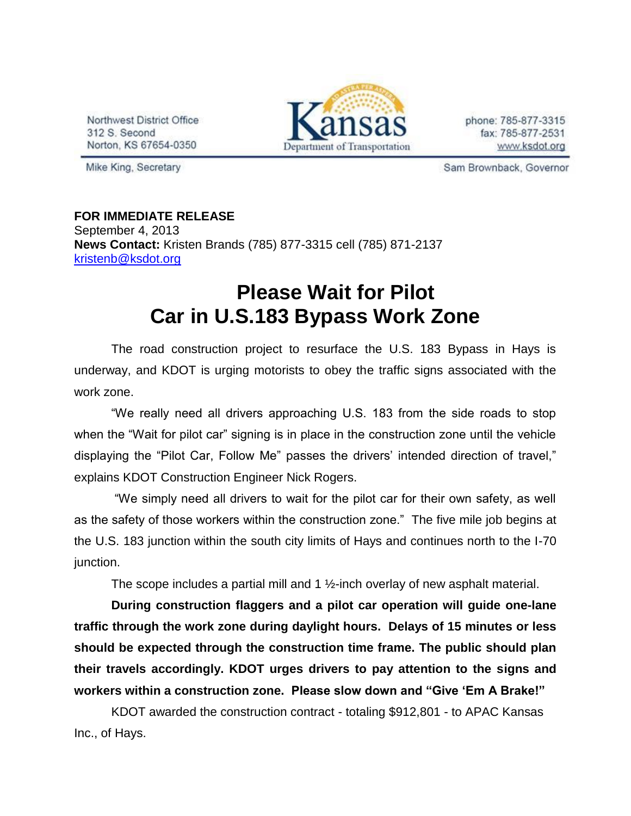Northwest District Office 312 S. Second Norton, KS 67654-0350



phone: 785-877-3315 fax: 785-877-2531 www.ksdot.org

Mike King, Secretary

Sam Brownback, Governor

**FOR IMMEDIATE RELEASE** September 4, 2013 **News Contact:** Kristen Brands (785) 877-3315 cell (785) 871-2137 [kristenb@ksdot.org](mailto:kristenb@ksdot.org)

## **Please Wait for Pilot Car in U.S.183 Bypass Work Zone**

The road construction project to resurface the U.S. 183 Bypass in Hays is underway, and KDOT is urging motorists to obey the traffic signs associated with the work zone.

"We really need all drivers approaching U.S. 183 from the side roads to stop when the "Wait for pilot car" signing is in place in the construction zone until the vehicle displaying the "Pilot Car, Follow Me" passes the drivers' intended direction of travel," explains KDOT Construction Engineer Nick Rogers.

"We simply need all drivers to wait for the pilot car for their own safety, as well as the safety of those workers within the construction zone." The five mile job begins at the U.S. 183 junction within the south city limits of Hays and continues north to the I-70 junction.

The scope includes a partial mill and 1 ½-inch overlay of new asphalt material.

**During construction flaggers and a pilot car operation will guide one-lane traffic through the work zone during daylight hours. Delays of 15 minutes or less should be expected through the construction time frame. The public should plan their travels accordingly. KDOT urges drivers to pay attention to the signs and workers within a construction zone. Please slow down and "Give 'Em A Brake!"**

KDOT awarded the construction contract - totaling \$912,801 - to APAC Kansas Inc., of Hays.